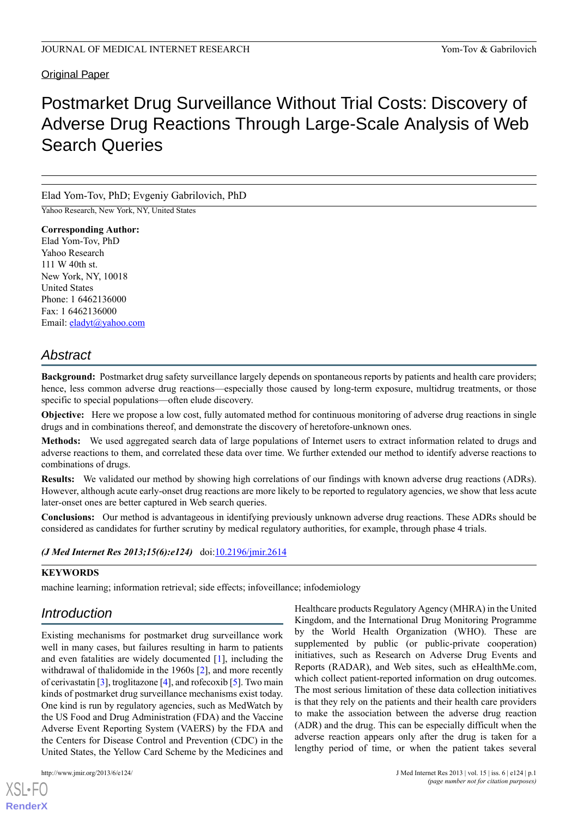# **Original Paper**

# Postmarket Drug Surveillance Without Trial Costs: Discovery of Adverse Drug Reactions Through Large-Scale Analysis of Web Search Queries

Elad Yom-Tov, PhD; Evgeniy Gabrilovich, PhD

Yahoo Research, New York, NY, United States

**Corresponding Author:** Elad Yom-Tov, PhD Yahoo Research 111 W 40th st. New York, NY, 10018 United States Phone: 1 6462136000 Fax: 1 6462136000 Email: [eladyt@yahoo.com](mailto:eladyt@yahoo.com)

# *Abstract*

**Background:** Postmarket drug safety surveillance largely depends on spontaneous reports by patients and health care providers; hence, less common adverse drug reactions—especially those caused by long-term exposure, multidrug treatments, or those specific to special populations—often elude discovery.

**Objective:** Here we propose a low cost, fully automated method for continuous monitoring of adverse drug reactions in single drugs and in combinations thereof, and demonstrate the discovery of heretofore-unknown ones.

**Methods:** We used aggregated search data of large populations of Internet users to extract information related to drugs and adverse reactions to them, and correlated these data over time. We further extended our method to identify adverse reactions to combinations of drugs.

**Results:** We validated our method by showing high correlations of our findings with known adverse drug reactions (ADRs). However, although acute early-onset drug reactions are more likely to be reported to regulatory agencies, we show that less acute later-onset ones are better captured in Web search queries.

**Conclusions:** Our method is advantageous in identifying previously unknown adverse drug reactions. These ADRs should be considered as candidates for further scrutiny by medical regulatory authorities, for example, through phase 4 trials.

# *(J Med Internet Res 2013;15(6):e124)* doi: $10.2196/$ jmir.2614

#### **KEYWORDS**

machine learning; information retrieval; side effects; infoveillance; infodemiology

# *Introduction*

Existing mechanisms for postmarket drug surveillance work well in many cases, but failures resulting in harm to patients and even fatalities are widely documented [[1\]](#page-9-0), including the withdrawal of thalidomide in the 1960s [\[2](#page-9-1)], and more recently of cerivastatin [\[3](#page-9-2)], troglitazone [\[4\]](#page-9-3), and rofecoxib [[5\]](#page-9-4). Two main kinds of postmarket drug surveillance mechanisms exist today. One kind is run by regulatory agencies, such as MedWatch by the US Food and Drug Administration (FDA) and the Vaccine Adverse Event Reporting System (VAERS) by the FDA and the Centers for Disease Control and Prevention (CDC) in the United States, the Yellow Card Scheme by the Medicines and

 $X$ SL•F $O$ **[RenderX](http://www.renderx.com/)** Healthcare products Regulatory Agency (MHRA) in the United Kingdom, and the International Drug Monitoring Programme by the World Health Organization (WHO). These are supplemented by public (or public-private cooperation) initiatives, such as Research on Adverse Drug Events and Reports (RADAR), and Web sites, such as eHealthMe.com, which collect patient-reported information on drug outcomes. The most serious limitation of these data collection initiatives is that they rely on the patients and their health care providers to make the association between the adverse drug reaction (ADR) and the drug. This can be especially difficult when the adverse reaction appears only after the drug is taken for a lengthy period of time, or when the patient takes several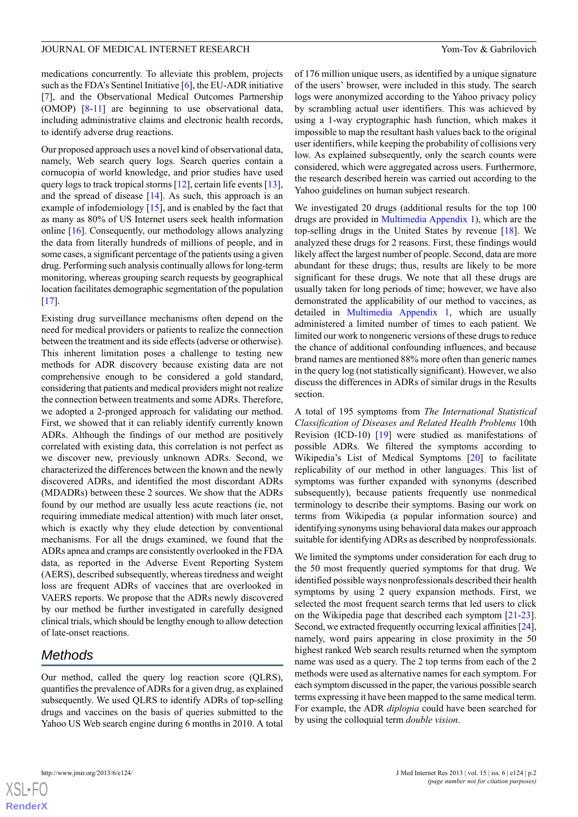medications concurrently. To alleviate this problem, projects such as the FDA's Sentinel Initiative  $[6]$  $[6]$ , the EU-ADR initiative [[7\]](#page-9-6), and the Observational Medical Outcomes Partnership (OMOP) [[8](#page-9-7)-[11\]](#page-10-0) are beginning to use observational data, including administrative claims and electronic health records, to identify adverse drug reactions.

Our proposed approach uses a novel kind of observational data, namely, Web search query logs. Search queries contain a cornucopia of world knowledge, and prior studies have used query logs to track tropical storms [\[12](#page-10-1)], certain life events [[13\]](#page-10-2), and the spread of disease [\[14](#page-10-3)]. As such, this approach is an example of infodemiology [\[15](#page-10-4)], and is enabled by the fact that as many as 80% of US Internet users seek health information online [[16\]](#page-10-5). Consequently, our methodology allows analyzing the data from literally hundreds of millions of people, and in some cases, a significant percentage of the patients using a given drug. Performing such analysis continually allows for long-term monitoring, whereas grouping search requests by geographical location facilitates demographic segmentation of the population  $[17]$  $[17]$ .

Existing drug surveillance mechanisms often depend on the need for medical providers or patients to realize the connection between the treatment and its side effects (adverse or otherwise). This inherent limitation poses a challenge to testing new methods for ADR discovery because existing data are not comprehensive enough to be considered a gold standard, considering that patients and medical providers might not realize the connection between treatments and some ADRs. Therefore, we adopted a 2-pronged approach for validating our method. First, we showed that it can reliably identify currently known ADRs. Although the findings of our method are positively correlated with existing data, this correlation is not perfect as we discover new, previously unknown ADRs. Second, we characterized the differences between the known and the newly discovered ADRs, and identified the most discordant ADRs (MDADRs) between these 2 sources. We show that the ADRs found by our method are usually less acute reactions (ie, not requiring immediate medical attention) with much later onset, which is exactly why they elude detection by conventional mechanisms. For all the drugs examined, we found that the ADRs apnea and cramps are consistently overlooked in the FDA data, as reported in the Adverse Event Reporting System (AERS), described subsequently, whereas tiredness and weight loss are frequent ADRs of vaccines that are overlooked in VAERS reports. We propose that the ADRs newly discovered by our method be further investigated in carefully designed clinical trials, which should be lengthy enough to allow detection of late-onset reactions.

# *Methods*

Our method, called the query log reaction score (QLRS), quantifies the prevalence of ADRs for a given drug, as explained subsequently. We used QLRS to identify ADRs of top-selling drugs and vaccines on the basis of queries submitted to the Yahoo US Web search engine during 6 months in 2010. A total

of 176 million unique users, as identified by a unique signature of the users' browser, were included in this study. The search logs were anonymized according to the Yahoo privacy policy by scrambling actual user identifiers. This was achieved by using a 1-way cryptographic hash function, which makes it impossible to map the resultant hash values back to the original user identifiers, while keeping the probability of collisions very low. As explained subsequently, only the search counts were considered, which were aggregated across users. Furthermore, the research described herein was carried out according to the Yahoo guidelines on human subject research.

We investigated 20 drugs (additional results for the top 100 drugs are provided in [Multimedia Appendix 1\)](#page-9-8), which are the top-selling drugs in the United States by revenue [[18\]](#page-10-7). We analyzed these drugs for 2 reasons. First, these findings would likely affect the largest number of people. Second, data are more abundant for these drugs; thus, results are likely to be more significant for these drugs. We note that all these drugs are usually taken for long periods of time; however, we have also demonstrated the applicability of our method to vaccines, as detailed in [Multimedia Appendix 1](#page-9-8), which are usually administered a limited number of times to each patient. We limited our work to nongeneric versions of these drugs to reduce the chance of additional confounding influences, and because brand names are mentioned 88% more often than generic names in the query log (not statistically significant). However, we also discuss the differences in ADRs of similar drugs in the Results section.

A total of 195 symptoms from *The International Statistical Classification of Diseases and Related Health Problems* 10th Revision (ICD-10) [\[19](#page-10-8)] were studied as manifestations of possible ADRs. We filtered the symptoms according to Wikipedia's List of Medical Symptoms [[20\]](#page-10-9) to facilitate replicability of our method in other languages. This list of symptoms was further expanded with synonyms (described subsequently), because patients frequently use nonmedical terminology to describe their symptoms. Basing our work on terms from Wikipedia (a popular information source) and identifying synonyms using behavioral data makes our approach suitable for identifying ADRs as described by nonprofessionals.

We limited the symptoms under consideration for each drug to the 50 most frequently queried symptoms for that drug. We identified possible ways nonprofessionals described their health symptoms by using 2 query expansion methods. First, we selected the most frequent search terms that led users to click on the Wikipedia page that described each symptom [[21-](#page-10-10)[23\]](#page-10-11). Second, we extracted frequently occurring lexical affinities [\[24](#page-10-12)], namely, word pairs appearing in close proximity in the 50 highest ranked Web search results returned when the symptom name was used as a query. The 2 top terms from each of the 2 methods were used as alternative names for each symptom. For each symptom discussed in the paper, the various possible search terms expressing it have been mapped to the same medical term. For example, the ADR *diplopia* could have been searched for by using the colloquial term *double vision*.

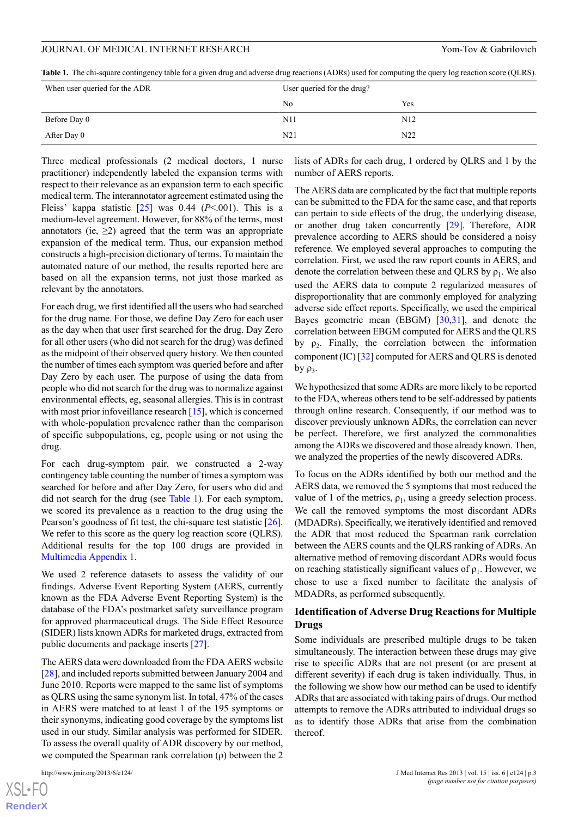<span id="page-2-0"></span>**Table 1.** The chi-square contingency table for a given drug and adverse drug reactions (ADRs) used for computing the query log reaction score (QLRS).

| When user queried for the ADR | User queried for the drug? |     |
|-------------------------------|----------------------------|-----|
|                               | N <sub>0</sub>             | Yes |
| Before Day 0                  | N11                        | N12 |
| After Day 0                   | N21                        | N22 |

Three medical professionals (2 medical doctors, 1 nurse practitioner) independently labeled the expansion terms with respect to their relevance as an expansion term to each specific medical term. The interannotator agreement estimated using the Fleiss' kappa statistic  $\lceil 25 \rceil$  was 0.44 ( $P < .001$ ). This is a medium-level agreement. However, for 88% of the terms, most annotators (ie,  $\geq$ 2) agreed that the term was an appropriate expansion of the medical term. Thus, our expansion method constructs a high-precision dictionary of terms. To maintain the automated nature of our method, the results reported here are based on all the expansion terms, not just those marked as relevant by the annotators.

For each drug, we first identified all the users who had searched for the drug name. For those, we define Day Zero for each user as the day when that user first searched for the drug. Day Zero for all other users (who did not search for the drug) was defined as the midpoint of their observed query history. We then counted the number of times each symptom was queried before and after Day Zero by each user. The purpose of using the data from people who did not search for the drug was to normalize against environmental effects, eg, seasonal allergies. This is in contrast with most prior infoveillance research [[15\]](#page-10-4), which is concerned with whole-population prevalence rather than the comparison of specific subpopulations, eg, people using or not using the drug.

For each drug-symptom pair, we constructed a 2-way contingency table counting the number of times a symptom was searched for before and after Day Zero, for users who did and did not search for the drug (see [Table 1](#page-2-0)). For each symptom, we scored its prevalence as a reaction to the drug using the Pearson's goodness of fit test, the chi-square test statistic [[26\]](#page-10-14). We refer to this score as the query log reaction score (QLRS). Additional results for the top 100 drugs are provided in [Multimedia Appendix 1](#page-9-8).

We used 2 reference datasets to assess the validity of our findings. Adverse Event Reporting System (AERS, currently known as the FDA Adverse Event Reporting System) is the database of the FDA's postmarket safety surveillance program for approved pharmaceutical drugs. The Side Effect Resource (SIDER) lists known ADRs for marketed drugs, extracted from public documents and package inserts [[27\]](#page-10-15).

The AERS data were downloaded from the FDA AERS website [[28\]](#page-10-16), and included reports submitted between January 2004 and June 2010. Reports were mapped to the same list of symptoms as QLRS using the same synonym list. In total, 47% of the cases in AERS were matched to at least 1 of the 195 symptoms or their synonyms, indicating good coverage by the symptoms list used in our study. Similar analysis was performed for SIDER. To assess the overall quality of ADR discovery by our method, we computed the Spearman rank correlation (ρ) between the 2

[XSL](http://www.w3.org/Style/XSL)•FO **[RenderX](http://www.renderx.com/)** lists of ADRs for each drug, 1 ordered by QLRS and 1 by the number of AERS reports.

The AERS data are complicated by the fact that multiple reports can be submitted to the FDA for the same case, and that reports can pertain to side effects of the drug, the underlying disease, or another drug taken concurrently [\[29](#page-10-17)]. Therefore, ADR prevalence according to AERS should be considered a noisy reference. We employed several approaches to computing the correlation. First, we used the raw report counts in AERS, and denote the correlation between these and QLRS by  $\rho_1$ . We also used the AERS data to compute 2 regularized measures of disproportionality that are commonly employed for analyzing adverse side effect reports. Specifically, we used the empirical Bayes geometric mean (EBGM) [[30](#page-10-18)[,31](#page-10-19)], and denote the correlation between EBGM computed for AERS and the QLRS by  $\rho_2$ . Finally, the correlation between the information component (IC) [[32\]](#page-10-20) computed for AERS and QLRS is denoted by  $\rho_3$ .

We hypothesized that some ADRs are more likely to be reported to the FDA, whereas others tend to be self-addressed by patients through online research. Consequently, if our method was to discover previously unknown ADRs, the correlation can never be perfect. Therefore, we first analyzed the commonalities among the ADRs we discovered and those already known. Then, we analyzed the properties of the newly discovered ADRs.

To focus on the ADRs identified by both our method and the AERS data, we removed the 5 symptoms that most reduced the value of 1 of the metrics,  $\rho_1$ , using a greedy selection process. We call the removed symptoms the most discordant ADRs (MDADRs). Specifically, we iteratively identified and removed the ADR that most reduced the Spearman rank correlation between the AERS counts and the QLRS ranking of ADRs. An alternative method of removing discordant ADRs would focus on reaching statistically significant values of  $\rho_1$ . However, we chose to use a fixed number to facilitate the analysis of MDADRs, as performed subsequently.

# **Identification of Adverse Drug Reactions for Multiple Drugs**

Some individuals are prescribed multiple drugs to be taken simultaneously. The interaction between these drugs may give rise to specific ADRs that are not present (or are present at different severity) if each drug is taken individually. Thus, in the following we show how our method can be used to identify ADRs that are associated with taking pairs of drugs. Our method attempts to remove the ADRs attributed to individual drugs so as to identify those ADRs that arise from the combination thereof.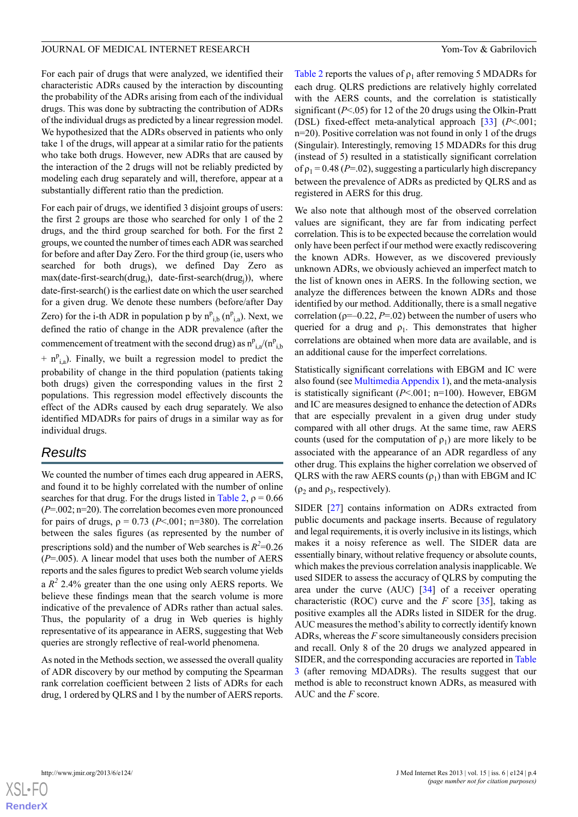For each pair of drugs that were analyzed, we identified their characteristic ADRs caused by the interaction by discounting the probability of the ADRs arising from each of the individual drugs. This was done by subtracting the contribution of ADRs of the individual drugs as predicted by a linear regression model. We hypothesized that the ADRs observed in patients who only take 1 of the drugs, will appear at a similar ratio for the patients who take both drugs. However, new ADRs that are caused by the interaction of the 2 drugs will not be reliably predicted by modeling each drug separately and will, therefore, appear at a substantially different ratio than the prediction.

For each pair of drugs, we identified 3 disjoint groups of users: the first 2 groups are those who searched for only 1 of the 2 drugs, and the third group searched for both. For the first 2 groups, we counted the number of times each ADR was searched for before and after Day Zero. For the third group (ie, users who searched for both drugs), we defined Day Zero as max(date-first-search(drug<sub>i</sub>), date-first-search(drug<sub>j</sub>)), where date-first-search() is the earliest date on which the user searched for a given drug. We denote these numbers (before/after Day Zero) for the i-th ADR in population p by  $n_{i,b}^p$  ( $n_{i,a}^p$ ). Next, we defined the ratio of change in the ADR prevalence (after the commencement of treatment with the second drug) as  $n_{i,a}^p/(n_{i,b}^p)$ 

 $+ n_{i,a}^p$ ). Finally, we built a regression model to predict the probability of change in the third population (patients taking both drugs) given the corresponding values in the first 2 populations. This regression model effectively discounts the effect of the ADRs caused by each drug separately. We also identified MDADRs for pairs of drugs in a similar way as for individual drugs.

# *Results*

We counted the number of times each drug appeared in AERS, and found it to be highly correlated with the number of online searches for that drug. For the drugs listed in [Table 2,](#page-4-0)  $\rho = 0.66$ (*P*=.002; n=20). The correlation becomes even more pronounced for pairs of drugs,  $\rho = 0.73$  (*P*<.001; n=380). The correlation between the sales figures (as represented by the number of prescriptions sold) and the number of Web searches is  $R^2$ =0.26 (*P*=.005). A linear model that uses both the number of AERS reports and the sales figures to predict Web search volume yields a  $R^2$  2.4% greater than the one using only AERS reports. We believe these findings mean that the search volume is more indicative of the prevalence of ADRs rather than actual sales. Thus, the popularity of a drug in Web queries is highly representative of its appearance in AERS, suggesting that Web queries are strongly reflective of real-world phenomena.

As noted in the Methods section, we assessed the overall quality of ADR discovery by our method by computing the Spearman rank correlation coefficient between 2 lists of ADRs for each drug, 1 ordered by QLRS and 1 by the number of AERS reports.

[Table 2](#page-4-0) reports the values of  $\rho_1$  after removing 5 MDADRs for each drug. QLRS predictions are relatively highly correlated with the AERS counts, and the correlation is statistically significant ( $P < .05$ ) for 12 of the 20 drugs using the Olkin-Pratt (DSL) fixed-effect meta-analytical approach [[33\]](#page-10-21) (*P*<.001; n=20). Positive correlation was not found in only 1 of the drugs (Singulair). Interestingly, removing 15 MDADRs for this drug (instead of 5) resulted in a statistically significant correlation of  $\rho_1$  = 0.48 (*P*=.02), suggesting a particularly high discrepancy between the prevalence of ADRs as predicted by QLRS and as registered in AERS for this drug.

We also note that although most of the observed correlation values are significant, they are far from indicating perfect correlation. This is to be expected because the correlation would only have been perfect if our method were exactly rediscovering the known ADRs. However, as we discovered previously unknown ADRs, we obviously achieved an imperfect match to the list of known ones in AERS. In the following section, we analyze the differences between the known ADRs and those identified by our method. Additionally, there is a small negative correlation ( $p=-0.22$ ,  $P=.02$ ) between the number of users who queried for a drug and  $\rho_1$ . This demonstrates that higher correlations are obtained when more data are available, and is an additional cause for the imperfect correlations.

Statistically significant correlations with EBGM and IC were also found (see [Multimedia Appendix 1\)](#page-9-8), and the meta-analysis is statistically significant (*P*<.001; n=100). However, EBGM and IC are measures designed to enhance the detection of ADRs that are especially prevalent in a given drug under study compared with all other drugs. At the same time, raw AERS counts (used for the computation of  $\rho_1$ ) are more likely to be associated with the appearance of an ADR regardless of any other drug. This explains the higher correlation we observed of QLRS with the raw AERS counts  $(\rho_1)$  than with EBGM and IC ( $\rho_2$  and  $\rho_3$ , respectively).

SIDER [\[27](#page-10-15)] contains information on ADRs extracted from public documents and package inserts. Because of regulatory and legal requirements, it is overly inclusive in its listings, which makes it a noisy reference as well. The SIDER data are essentially binary, without relative frequency or absolute counts, which makes the previous correlation analysis inapplicable. We used SIDER to assess the accuracy of QLRS by computing the area under the curve (AUC) [\[34](#page-10-22)] of a receiver operating characteristic (ROC) curve and the *F* score [[35\]](#page-10-23), taking as positive examples all the ADRs listed in SIDER for the drug. AUC measures the method's ability to correctly identify known ADRs, whereas the *F* score simultaneously considers precision and recall. Only 8 of the 20 drugs we analyzed appeared in SIDER, and the corresponding accuracies are reported in [Table](#page-4-1) [3](#page-4-1) (after removing MDADRs). The results suggest that our method is able to reconstruct known ADRs, as measured with AUC and the *F* score.

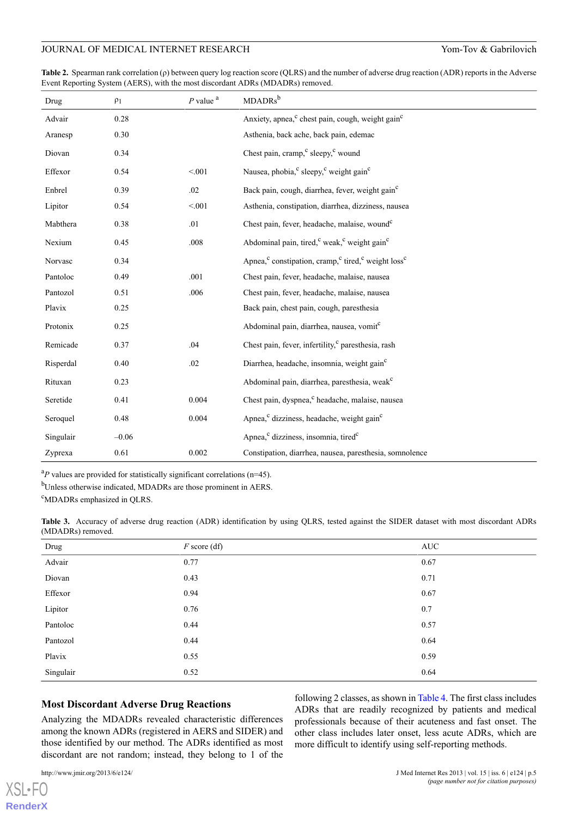<span id="page-4-0"></span>**Table 2.** Spearman rank correlation (ρ) between query log reaction score (QLRS) and the number of adverse drug reaction (ADR) reports in the Adverse Event Reporting System (AERS), with the most discordant ADRs (MDADRs) removed.

| Drug      | $\rho_1$ | $P$ value $a$ | MDADRs <sup>b</sup>                                                                                |
|-----------|----------|---------------|----------------------------------------------------------------------------------------------------|
| Advair    | 0.28     |               | Anxiety, apnea, <sup>c</sup> chest pain, cough, weight gain <sup>c</sup>                           |
| Aranesp   | 0.30     |               | Asthenia, back ache, back pain, edemac                                                             |
| Diovan    | 0.34     |               | Chest pain, cramp, <sup>c</sup> sleepy, <sup>c</sup> wound                                         |
| Effexor   | 0.54     | < 0.01        | Nausea, phobia, <sup>c</sup> sleepy, <sup>c</sup> weight gain <sup>c</sup>                         |
| Enbrel    | 0.39     | .02           | Back pain, cough, diarrhea, fever, weight gain <sup>c</sup>                                        |
| Lipitor   | 0.54     | < 0.01        | Asthenia, constipation, diarrhea, dizziness, nausea                                                |
| Mabthera  | 0.38     | .01           | Chest pain, fever, headache, malaise, wound <sup>c</sup>                                           |
| Nexium    | 0.45     | .008          | Abdominal pain, tired, <sup>c</sup> weak, <sup>c</sup> weight gain <sup>c</sup>                    |
| Norvasc   | 0.34     |               | Apnea, <sup>c</sup> constipation, cramp, <sup>c</sup> tired, <sup>c</sup> weight loss <sup>c</sup> |
| Pantoloc  | 0.49     | .001          | Chest pain, fever, headache, malaise, nausea                                                       |
| Pantozol  | 0.51     | .006          | Chest pain, fever, headache, malaise, nausea                                                       |
| Plavix    | 0.25     |               | Back pain, chest pain, cough, paresthesia                                                          |
| Protonix  | 0.25     |               | Abdominal pain, diarrhea, nausea, vomit <sup>c</sup>                                               |
| Remicade  | 0.37     | .04           | Chest pain, fever, infertility, <sup>c</sup> paresthesia, rash                                     |
| Risperdal | 0.40     | .02           | Diarrhea, headache, insomnia, weight gain <sup>c</sup>                                             |
| Rituxan   | 0.23     |               | Abdominal pain, diarrhea, paresthesia, weak <sup>c</sup>                                           |
| Seretide  | 0.41     | 0.004         | Chest pain, dyspnea, <sup>c</sup> headache, malaise, nausea                                        |
| Seroquel  | 0.48     | 0.004         | Apnea, <sup>c</sup> dizziness, headache, weight gain <sup>c</sup>                                  |
| Singulair | $-0.06$  |               | Apnea, <sup>c</sup> dizziness, insomnia, tired <sup>c</sup>                                        |
| Zyprexa   | 0.61     | 0.002         | Constipation, diarrhea, nausea, paresthesia, somnolence                                            |

<span id="page-4-1"></span> ${}^{a}P$  values are provided for statistically significant correlations (n=45).

<sup>b</sup>Unless otherwise indicated, MDADRs are those prominent in AERS.

<sup>c</sup>MDADRs emphasized in QLRS.

**Table 3.** Accuracy of adverse drug reaction (ADR) identification by using QLRS, tested against the SIDER dataset with most discordant ADRs (MDADRs) removed.

| Drug      | $F$ score (df) | <b>AUC</b> |
|-----------|----------------|------------|
| Advair    | 0.77           | 0.67       |
| Diovan    | 0.43           | 0.71       |
| Effexor   | 0.94           | 0.67       |
| Lipitor   | 0.76           | 0.7        |
| Pantoloc  | 0.44           | 0.57       |
| Pantozol  | 0.44           | 0.64       |
| Plavix    | 0.55           | 0.59       |
| Singulair | 0.52           | 0.64       |

#### **Most Discordant Adverse Drug Reactions**

Analyzing the MDADRs revealed characteristic differences among the known ADRs (registered in AERS and SIDER) and those identified by our method. The ADRs identified as most discordant are not random; instead, they belong to 1 of the

[XSL](http://www.w3.org/Style/XSL)•FO **[RenderX](http://www.renderx.com/)**

following 2 classes, as shown in [Table 4](#page-6-0). The first class includes ADRs that are readily recognized by patients and medical professionals because of their acuteness and fast onset. The other class includes later onset, less acute ADRs, which are more difficult to identify using self-reporting methods.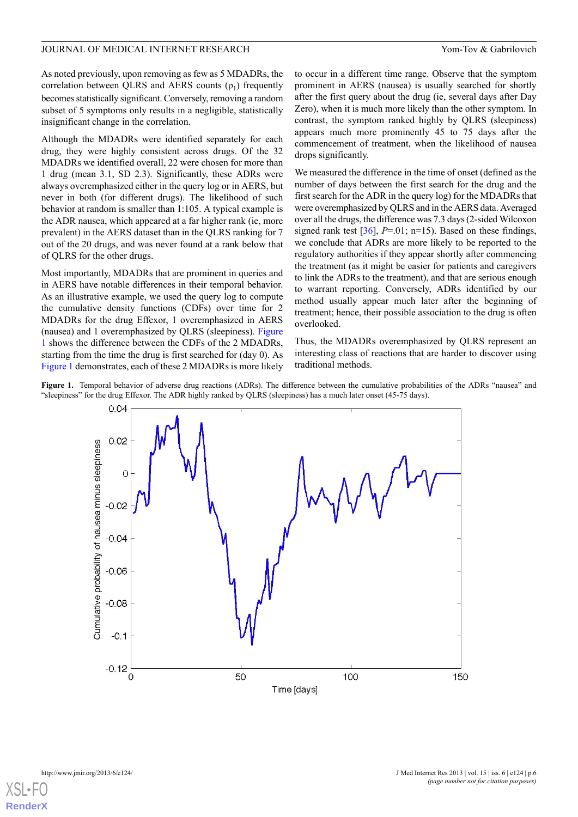As noted previously, upon removing as few as 5 MDADRs, the correlation between QLRS and AERS counts  $(\rho_1)$  frequently becomes statistically significant. Conversely, removing a random subset of 5 symptoms only results in a negligible, statistically insignificant change in the correlation.

Although the MDADRs were identified separately for each drug, they were highly consistent across drugs. Of the 32 MDADRs we identified overall, 22 were chosen for more than 1 drug (mean 3.1, SD 2.3). Significantly, these ADRs were always overemphasized either in the query log or in AERS, but never in both (for different drugs). The likelihood of such behavior at random is smaller than 1:105. A typical example is the ADR nausea, which appeared at a far higher rank (ie, more prevalent) in the AERS dataset than in the QLRS ranking for 7 out of the 20 drugs, and was never found at a rank below that of QLRS for the other drugs.

Most importantly, MDADRs that are prominent in queries and in AERS have notable differences in their temporal behavior. As an illustrative example, we used the query log to compute the cumulative density functions (CDFs) over time for 2 MDADRs for the drug Effexor, 1 overemphasized in AERS (nausea) and 1 overemphasized by QLRS (sleepiness). [Figure](#page-5-0) [1](#page-5-0) shows the difference between the CDFs of the 2 MDADRs, starting from the time the drug is first searched for (day 0). As [Figure 1](#page-5-0) demonstrates, each of these 2 MDADRs is more likely

to occur in a different time range. Observe that the symptom prominent in AERS (nausea) is usually searched for shortly after the first query about the drug (ie, several days after Day Zero), when it is much more likely than the other symptom. In contrast, the symptom ranked highly by QLRS (sleepiness) appears much more prominently 45 to 75 days after the commencement of treatment, when the likelihood of nausea drops significantly.

We measured the difference in the time of onset (defined as the number of days between the first search for the drug and the first search for the ADR in the query log) for the MDADRs that were overemphasized by QLRS and in the AERS data. Averaged over all the drugs, the difference was 7.3 days (2-sided Wilcoxon signed rank test  $[36]$  $[36]$ ,  $P=01$ ; n=15). Based on these findings, we conclude that ADRs are more likely to be reported to the regulatory authorities if they appear shortly after commencing the treatment (as it might be easier for patients and caregivers to link the ADRs to the treatment), and that are serious enough to warrant reporting. Conversely, ADRs identified by our method usually appear much later after the beginning of treatment; hence, their possible association to the drug is often overlooked.

Thus, the MDADRs overemphasized by QLRS represent an interesting class of reactions that are harder to discover using traditional methods.

<span id="page-5-0"></span>Figure 1. Temporal behavior of adverse drug reactions (ADRs). The difference between the cumulative probabilities of the ADRs "nausea" and "sleepiness" for the drug Effexor. The ADR highly ranked by QLRS (sleepiness) has a much later onset (45-75 days).



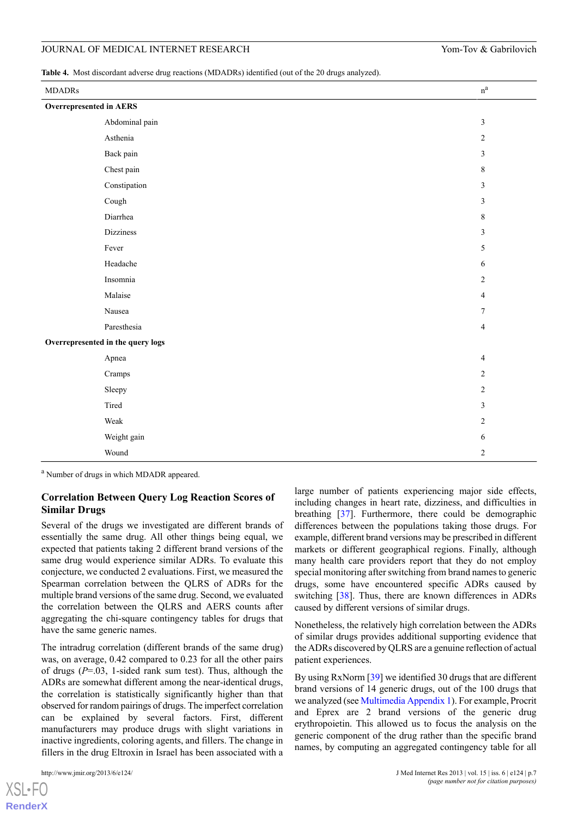<span id="page-6-0"></span>**Table 4.** Most discordant adverse drug reactions (MDADRs) identified (out of the 20 drugs analyzed).

| <b>MDADRs</b>           |                                   | $\rm n^a$      |
|-------------------------|-----------------------------------|----------------|
| Overrepresented in AERS |                                   |                |
|                         | Abdominal pain                    | $\mathfrak{Z}$ |
|                         | Asthenia                          | $\overline{c}$ |
|                         | Back pain                         | $\mathfrak{Z}$ |
|                         | Chest pain                        | $\,$ 8 $\,$    |
|                         | Constipation                      | $\mathfrak{Z}$ |
|                         | Cough                             | $\mathfrak{Z}$ |
|                         | Diarrhea                          | $\,8\,$        |
|                         | Dizziness                         | $\mathfrak{Z}$ |
|                         | Fever                             | 5              |
|                         | Headache                          | 6              |
|                         | Insomnia                          | $\overline{c}$ |
|                         | Malaise                           | $\overline{4}$ |
|                         | Nausea                            | $\tau$         |
|                         | Paresthesia                       | $\overline{4}$ |
|                         | Overrepresented in the query logs |                |
|                         | Apnea                             | $\overline{4}$ |
|                         | Cramps                            | $\overline{2}$ |
|                         | Sleepy                            | $\overline{c}$ |
|                         | Tired                             | $\mathfrak{Z}$ |
|                         | Weak                              | $\overline{2}$ |
|                         | Weight gain                       | 6              |
|                         | Wound                             | $\overline{c}$ |

<sup>a</sup> Number of drugs in which MDADR appeared.

# **Correlation Between Query Log Reaction Scores of Similar Drugs**

Several of the drugs we investigated are different brands of essentially the same drug. All other things being equal, we expected that patients taking 2 different brand versions of the same drug would experience similar ADRs. To evaluate this conjecture, we conducted 2 evaluations. First, we measured the Spearman correlation between the QLRS of ADRs for the multiple brand versions of the same drug. Second, we evaluated the correlation between the QLRS and AERS counts after aggregating the chi-square contingency tables for drugs that have the same generic names.

The intradrug correlation (different brands of the same drug) was, on average, 0.42 compared to 0.23 for all the other pairs of drugs (*P*=.03, 1-sided rank sum test). Thus, although the ADRs are somewhat different among the near-identical drugs, the correlation is statistically significantly higher than that observed for random pairings of drugs. The imperfect correlation can be explained by several factors. First, different manufacturers may produce drugs with slight variations in inactive ingredients, coloring agents, and fillers. The change in fillers in the drug Eltroxin in Israel has been associated with a

 $XS$  • FC **[RenderX](http://www.renderx.com/)** large number of patients experiencing major side effects, including changes in heart rate, dizziness, and difficulties in breathing [[37\]](#page-11-0). Furthermore, there could be demographic differences between the populations taking those drugs. For example, different brand versions may be prescribed in different markets or different geographical regions. Finally, although many health care providers report that they do not employ special monitoring after switching from brand names to generic drugs, some have encountered specific ADRs caused by switching [[38\]](#page-11-1). Thus, there are known differences in ADRs caused by different versions of similar drugs.

Nonetheless, the relatively high correlation between the ADRs of similar drugs provides additional supporting evidence that the ADRs discovered by QLRS are a genuine reflection of actual patient experiences.

By using RxNorm [[39\]](#page-11-2) we identified 30 drugs that are different brand versions of 14 generic drugs, out of the 100 drugs that we analyzed (see [Multimedia Appendix 1](#page-9-8)). For example, Procrit and Eprex are 2 brand versions of the generic drug erythropoietin. This allowed us to focus the analysis on the generic component of the drug rather than the specific brand names, by computing an aggregated contingency table for all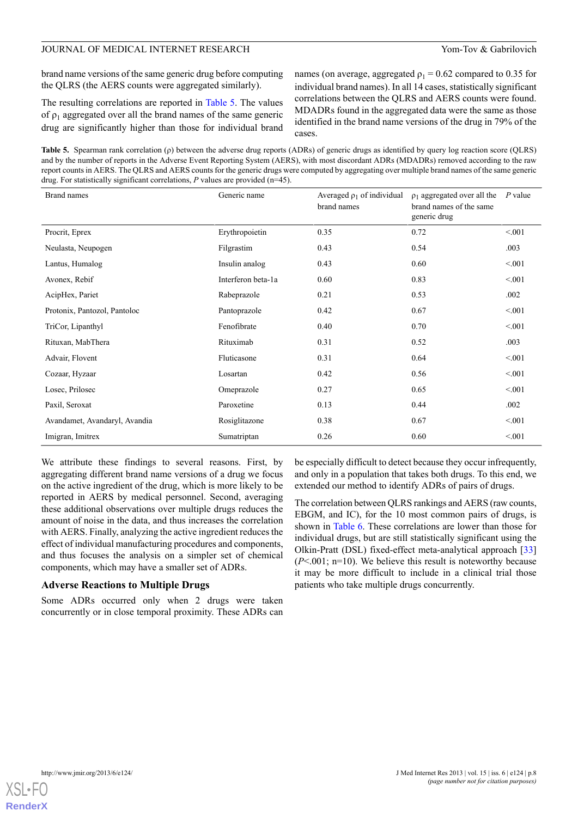brand name versions of the same generic drug before computing the QLRS (the AERS counts were aggregated similarly).

The resulting correlations are reported in [Table 5.](#page-7-0) The values of  $\rho_1$  aggregated over all the brand names of the same generic drug are significantly higher than those for individual brand

names (on average, aggregated  $\rho_1 = 0.62$  compared to 0.35 for individual brand names). In all 14 cases, statistically significant correlations between the QLRS and AERS counts were found. MDADRs found in the aggregated data were the same as those identified in the brand name versions of the drug in 79% of the cases.

<span id="page-7-0"></span>**Table 5.** Spearman rank correlation (ρ) between the adverse drug reports (ADRs) of generic drugs as identified by query log reaction score (QLRS) and by the number of reports in the Adverse Event Reporting System (AERS), with most discordant ADRs (MDADRs) removed according to the raw report counts in AERS. The QLRS and AERS counts for the generic drugs were computed by aggregating over multiple brand names of the same generic drug. For statistically significant correlations, *P* values are provided (n=45).

| <b>Brand names</b>            | Generic name       | Averaged $\rho_1$ of individual<br>brand names | $\rho_1$ aggregated over all the<br>brand names of the same<br>generic drug | $P$ value |
|-------------------------------|--------------------|------------------------------------------------|-----------------------------------------------------------------------------|-----------|
| Procrit, Eprex                | Erythropoietin     | 0.35                                           | 0.72                                                                        | < 0.01    |
| Neulasta, Neupogen            | Filgrastim         | 0.43                                           | 0.54                                                                        | .003      |
| Lantus, Humalog               | Insulin analog     | 0.43                                           | 0.60                                                                        | < 0.01    |
| Avonex, Rebif                 | Interferon beta-1a | 0.60                                           | 0.83                                                                        | < 0.01    |
| AcipHex, Pariet               | Rabeprazole        | 0.21                                           | 0.53                                                                        | .002      |
| Protonix, Pantozol, Pantoloc  | Pantoprazole       | 0.42                                           | 0.67                                                                        | < 0.01    |
| TriCor, Lipanthyl             | Fenofibrate        | 0.40                                           | 0.70                                                                        | < 0.01    |
| Rituxan, MabThera             | Rituximab          | 0.31                                           | 0.52                                                                        | .003      |
| Advair, Flovent               | Fluticasone        | 0.31                                           | 0.64                                                                        | < 0.01    |
| Cozaar, Hyzaar                | Losartan           | 0.42                                           | 0.56                                                                        | < 0.01    |
| Losec, Prilosec               | Omeprazole         | 0.27                                           | 0.65                                                                        | < 0.01    |
| Paxil, Seroxat                | Paroxetine         | 0.13                                           | 0.44                                                                        | .002      |
| Avandamet, Avandaryl, Avandia | Rosiglitazone      | 0.38                                           | 0.67                                                                        | < 0.01    |
| Imigran, Imitrex              | Sumatriptan        | 0.26                                           | 0.60                                                                        | < 0.01    |

We attribute these findings to several reasons. First, by aggregating different brand name versions of a drug we focus on the active ingredient of the drug, which is more likely to be reported in AERS by medical personnel. Second, averaging these additional observations over multiple drugs reduces the amount of noise in the data, and thus increases the correlation with AERS. Finally, analyzing the active ingredient reduces the effect of individual manufacturing procedures and components, and thus focuses the analysis on a simpler set of chemical components, which may have a smaller set of ADRs.

#### **Adverse Reactions to Multiple Drugs**

Some ADRs occurred only when 2 drugs were taken concurrently or in close temporal proximity. These ADRs can be especially difficult to detect because they occur infrequently, and only in a population that takes both drugs. To this end, we extended our method to identify ADRs of pairs of drugs.

The correlation between QLRS rankings and AERS (raw counts, EBGM, and IC), for the 10 most common pairs of drugs, is shown in [Table 6.](#page-8-0) These correlations are lower than those for individual drugs, but are still statistically significant using the Olkin-Pratt (DSL) fixed-effect meta-analytical approach [\[33](#page-10-21)]  $(P<.001$ ; n=10). We believe this result is noteworthy because it may be more difficult to include in a clinical trial those patients who take multiple drugs concurrently.

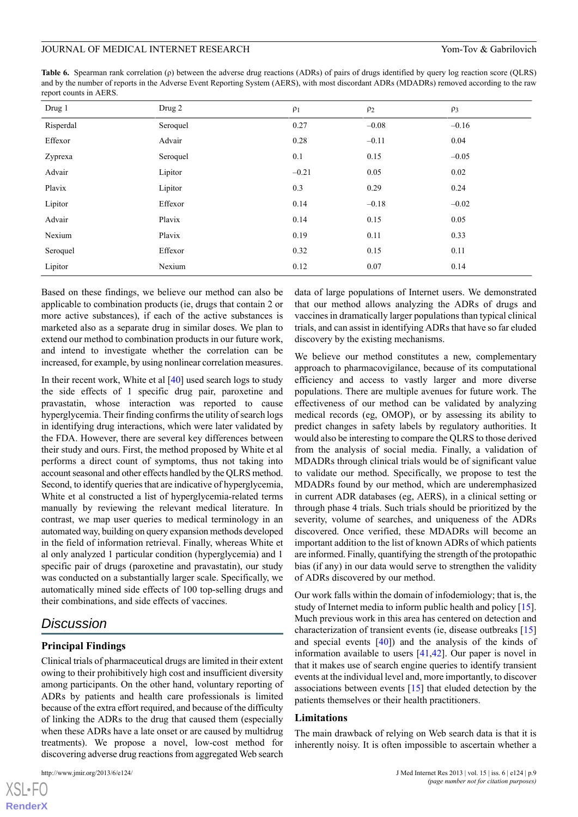<span id="page-8-0"></span>**Table 6.** Spearman rank correlation (ρ) between the adverse drug reactions (ADRs) of pairs of drugs identified by query log reaction score (QLRS) and by the number of reports in the Adverse Event Reporting System (AERS), with most discordant ADRs (MDADRs) removed according to the raw report counts in AERS.

| Drug 1    | Drug 2   | $\rho_1$ | $\rho_2$ | $\rho_3$ |
|-----------|----------|----------|----------|----------|
| Risperdal | Seroquel | 0.27     | $-0.08$  | $-0.16$  |
| Effexor   | Advair   | 0.28     | $-0.11$  | 0.04     |
| Zyprexa   | Seroquel | 0.1      | 0.15     | $-0.05$  |
| Advair    | Lipitor  | $-0.21$  | 0.05     | 0.02     |
| Plavix    | Lipitor  | 0.3      | 0.29     | 0.24     |
| Lipitor   | Effexor  | 0.14     | $-0.18$  | $-0.02$  |
| Advair    | Plavix   | 0.14     | 0.15     | 0.05     |
| Nexium    | Plavix   | 0.19     | 0.11     | 0.33     |
| Seroquel  | Effexor  | 0.32     | 0.15     | 0.11     |
| Lipitor   | Nexium   | 0.12     | 0.07     | 0.14     |

Based on these findings, we believe our method can also be applicable to combination products (ie, drugs that contain 2 or more active substances), if each of the active substances is marketed also as a separate drug in similar doses. We plan to extend our method to combination products in our future work, and intend to investigate whether the correlation can be increased, for example, by using nonlinear correlation measures.

In their recent work, White et al [\[40](#page-11-3)] used search logs to study the side effects of 1 specific drug pair, paroxetine and pravastatin, whose interaction was reported to cause hyperglycemia. Their finding confirms the utility of search logs in identifying drug interactions, which were later validated by the FDA. However, there are several key differences between their study and ours. First, the method proposed by White et al performs a direct count of symptoms, thus not taking into account seasonal and other effects handled by the QLRS method. Second, to identify queries that are indicative of hyperglycemia, White et al constructed a list of hyperglycemia-related terms manually by reviewing the relevant medical literature. In contrast, we map user queries to medical terminology in an automated way, building on query expansion methods developed in the field of information retrieval. Finally, whereas White et al only analyzed 1 particular condition (hyperglycemia) and 1 specific pair of drugs (paroxetine and pravastatin), our study was conducted on a substantially larger scale. Specifically, we automatically mined side effects of 100 top-selling drugs and their combinations, and side effects of vaccines.

# *Discussion*

# **Principal Findings**

Clinical trials of pharmaceutical drugs are limited in their extent owing to their prohibitively high cost and insufficient diversity among participants. On the other hand, voluntary reporting of ADRs by patients and health care professionals is limited because of the extra effort required, and because of the difficulty of linking the ADRs to the drug that caused them (especially when these ADRs have a late onset or are caused by multidrug treatments). We propose a novel, low-cost method for discovering adverse drug reactions from aggregated Web search

[XSL](http://www.w3.org/Style/XSL)•FO **[RenderX](http://www.renderx.com/)** data of large populations of Internet users. We demonstrated that our method allows analyzing the ADRs of drugs and vaccines in dramatically larger populations than typical clinical trials, and can assist in identifying ADRs that have so far eluded discovery by the existing mechanisms.

We believe our method constitutes a new, complementary approach to pharmacovigilance, because of its computational efficiency and access to vastly larger and more diverse populations. There are multiple avenues for future work. The effectiveness of our method can be validated by analyzing medical records (eg, OMOP), or by assessing its ability to predict changes in safety labels by regulatory authorities. It would also be interesting to compare the QLRS to those derived from the analysis of social media. Finally, a validation of MDADRs through clinical trials would be of significant value to validate our method. Specifically, we propose to test the MDADRs found by our method, which are underemphasized in current ADR databases (eg, AERS), in a clinical setting or through phase 4 trials. Such trials should be prioritized by the severity, volume of searches, and uniqueness of the ADRs discovered. Once verified, these MDADRs will become an important addition to the list of known ADRs of which patients are informed. Finally, quantifying the strength of the protopathic bias (if any) in our data would serve to strengthen the validity of ADRs discovered by our method.

Our work falls within the domain of infodemiology; that is, the study of Internet media to inform public health and policy [[15\]](#page-10-4). Much previous work in this area has centered on detection and characterization of transient events (ie, disease outbreaks [\[15](#page-10-4)] and special events  $[40]$  $[40]$  and the analysis of the kinds of information available to users [\[41](#page-11-4)[,42](#page-11-5)]. Our paper is novel in that it makes use of search engine queries to identify transient events at the individual level and, more importantly, to discover associations between events [\[15](#page-10-4)] that eluded detection by the patients themselves or their health practitioners.

#### **Limitations**

The main drawback of relying on Web search data is that it is inherently noisy. It is often impossible to ascertain whether a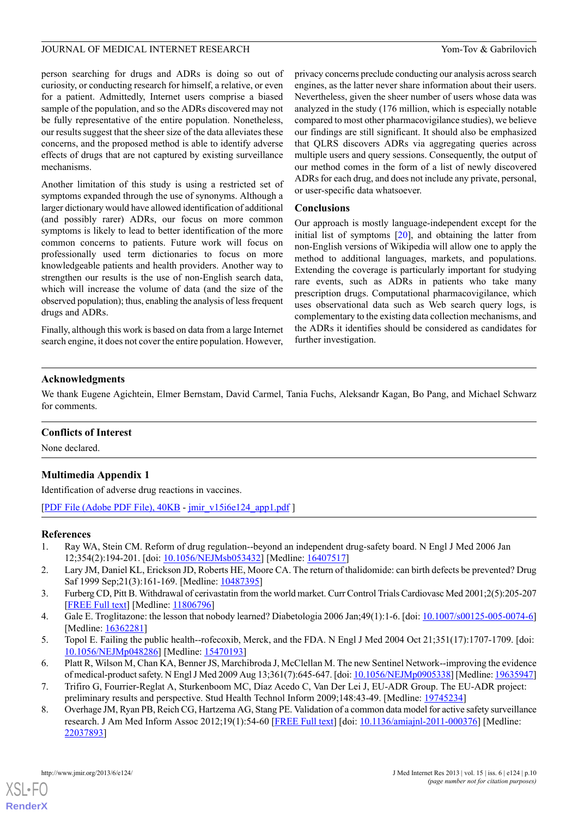person searching for drugs and ADRs is doing so out of curiosity, or conducting research for himself, a relative, or even for a patient. Admittedly, Internet users comprise a biased sample of the population, and so the ADRs discovered may not be fully representative of the entire population. Nonetheless, our results suggest that the sheer size of the data alleviates these concerns, and the proposed method is able to identify adverse effects of drugs that are not captured by existing surveillance mechanisms.

Another limitation of this study is using a restricted set of symptoms expanded through the use of synonyms. Although a larger dictionary would have allowed identification of additional (and possibly rarer) ADRs, our focus on more common symptoms is likely to lead to better identification of the more common concerns to patients. Future work will focus on professionally used term dictionaries to focus on more knowledgeable patients and health providers. Another way to strengthen our results is the use of non-English search data, which will increase the volume of data (and the size of the observed population); thus, enabling the analysis of less frequent drugs and ADRs.

Finally, although this work is based on data from a large Internet search engine, it does not cover the entire population. However,

privacy concerns preclude conducting our analysis across search engines, as the latter never share information about their users. Nevertheless, given the sheer number of users whose data was analyzed in the study (176 million, which is especially notable compared to most other pharmacovigilance studies), we believe our findings are still significant. It should also be emphasized that QLRS discovers ADRs via aggregating queries across multiple users and query sessions. Consequently, the output of our method comes in the form of a list of newly discovered ADRs for each drug, and does not include any private, personal, or user-specific data whatsoever.

### **Conclusions**

Our approach is mostly language-independent except for the initial list of symptoms  $[20]$  $[20]$ , and obtaining the latter from non-English versions of Wikipedia will allow one to apply the method to additional languages, markets, and populations. Extending the coverage is particularly important for studying rare events, such as ADRs in patients who take many prescription drugs. Computational pharmacovigilance, which uses observational data such as Web search query logs, is complementary to the existing data collection mechanisms, and the ADRs it identifies should be considered as candidates for further investigation.

# **Acknowledgments**

We thank Eugene Agichtein, Elmer Bernstam, David Carmel, Tania Fuchs, Aleksandr Kagan, Bo Pang, and Michael Schwarz for comments.

# <span id="page-9-8"></span>**Conflicts of Interest**

None declared.

# **Multimedia Appendix 1**

<span id="page-9-0"></span>Identification of adverse drug reactions in vaccines.

<span id="page-9-1"></span>[[PDF File \(Adobe PDF File\), 40KB](http://www.jmir.org/article/downloadSuppFile/2614/8643) - [jmir\\_v15i6e124\\_app1.pdf](http://www.jmir.org/article/downloadSuppFile/2614/8643) ]

# <span id="page-9-2"></span>**References**

- <span id="page-9-3"></span>1. Ray WA, Stein CM. Reform of drug regulation--beyond an independent drug-safety board. N Engl J Med 2006 Jan 12;354(2):194-201. [doi: [10.1056/NEJMsb053432\]](http://dx.doi.org/10.1056/NEJMsb053432) [Medline: [16407517](http://www.ncbi.nlm.nih.gov/entrez/query.fcgi?cmd=Retrieve&db=PubMed&list_uids=16407517&dopt=Abstract)]
- <span id="page-9-4"></span>2. Lary JM, Daniel KL, Erickson JD, Roberts HE, Moore CA. The return of thalidomide: can birth defects be prevented? Drug Saf 1999 Sep;21(3):161-169. [Medline: [10487395](http://www.ncbi.nlm.nih.gov/entrez/query.fcgi?cmd=Retrieve&db=PubMed&list_uids=10487395&dopt=Abstract)]
- <span id="page-9-5"></span>3. Furberg CD, Pitt B. Withdrawal of cerivastatin from the world market. Curr Control Trials Cardiovasc Med 2001;2(5):205-207 [[FREE Full text](http://cvm.controlled-trials.com/content/2/5/205)] [Medline: [11806796\]](http://www.ncbi.nlm.nih.gov/entrez/query.fcgi?cmd=Retrieve&db=PubMed&list_uids=11806796&dopt=Abstract)
- <span id="page-9-6"></span>4. Gale E. Troglitazone: the lesson that nobody learned? Diabetologia 2006 Jan;49(1):1-6. [doi: [10.1007/s00125-005-0074-6](http://dx.doi.org/10.1007/s00125-005-0074-6)] [Medline: [16362281](http://www.ncbi.nlm.nih.gov/entrez/query.fcgi?cmd=Retrieve&db=PubMed&list_uids=16362281&dopt=Abstract)]
- <span id="page-9-7"></span>5. Topol E. Failing the public health--rofecoxib, Merck, and the FDA. N Engl J Med 2004 Oct 21;351(17):1707-1709. [doi: [10.1056/NEJMp048286\]](http://dx.doi.org/10.1056/NEJMp048286) [Medline: [15470193\]](http://www.ncbi.nlm.nih.gov/entrez/query.fcgi?cmd=Retrieve&db=PubMed&list_uids=15470193&dopt=Abstract)
- 6. Platt R, Wilson M, Chan KA, Benner JS, Marchibroda J, McClellan M. The new Sentinel Network--improving the evidence of medical-product safety. N Engl J Med 2009 Aug 13;361(7):645-647. [doi: [10.1056/NEJMp0905338](http://dx.doi.org/10.1056/NEJMp0905338)] [Medline: [19635947](http://www.ncbi.nlm.nih.gov/entrez/query.fcgi?cmd=Retrieve&db=PubMed&list_uids=19635947&dopt=Abstract)]
- 7. Trifiro G, Fourrier-Reglat A, Sturkenboom MC, Díaz Acedo C, Van Der Lei J, EU-ADR Group. The EU-ADR project: preliminary results and perspective. Stud Health Technol Inform 2009;148:43-49. [Medline: [19745234](http://www.ncbi.nlm.nih.gov/entrez/query.fcgi?cmd=Retrieve&db=PubMed&list_uids=19745234&dopt=Abstract)]
- 8. Overhage JM, Ryan PB, Reich CG, Hartzema AG, Stang PE. Validation of a common data model for active safety surveillance research. J Am Med Inform Assoc 2012;19(1):54-60 [\[FREE Full text\]](http://jamia.bmj.com/cgi/pmidlookup?view=long&pmid=22037893) [doi: [10.1136/amiajnl-2011-000376\]](http://dx.doi.org/10.1136/amiajnl-2011-000376) [Medline: [22037893](http://www.ncbi.nlm.nih.gov/entrez/query.fcgi?cmd=Retrieve&db=PubMed&list_uids=22037893&dopt=Abstract)]

[XSL](http://www.w3.org/Style/XSL)•FO **[RenderX](http://www.renderx.com/)**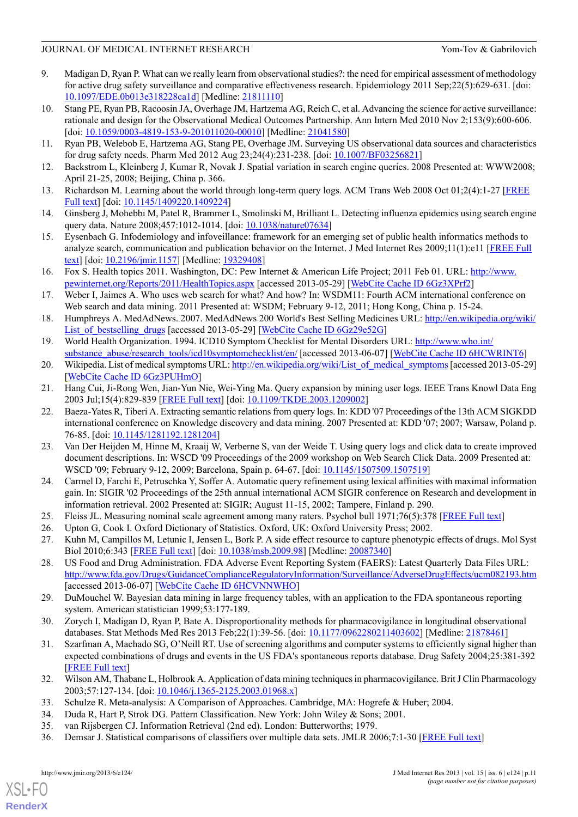- 9. Madigan D, Ryan P. What can we really learn from observational studies?: the need for empirical assessment of methodology for active drug safety surveillance and comparative effectiveness research. Epidemiology 2011 Sep;22(5):629-631. [doi: [10.1097/EDE.0b013e318228ca1d](http://dx.doi.org/10.1097/EDE.0b013e318228ca1d)] [Medline: [21811110\]](http://www.ncbi.nlm.nih.gov/entrez/query.fcgi?cmd=Retrieve&db=PubMed&list_uids=21811110&dopt=Abstract)
- 10. Stang PE, Ryan PB, Racoosin JA, Overhage JM, Hartzema AG, Reich C, et al. Advancing the science for active surveillance: rationale and design for the Observational Medical Outcomes Partnership. Ann Intern Med 2010 Nov 2;153(9):600-606. [doi: [10.1059/0003-4819-153-9-201011020-00010](http://dx.doi.org/10.1059/0003-4819-153-9-201011020-00010)] [Medline: [21041580](http://www.ncbi.nlm.nih.gov/entrez/query.fcgi?cmd=Retrieve&db=PubMed&list_uids=21041580&dopt=Abstract)]
- <span id="page-10-1"></span><span id="page-10-0"></span>11. Ryan PB, Welebob E, Hartzema AG, Stang PE, Overhage JM. Surveying US observational data sources and characteristics for drug safety needs. Pharm Med 2012 Aug 23;24(4):231-238. [doi: [10.1007/BF03256821\]](http://dx.doi.org/10.1007/BF03256821)
- <span id="page-10-2"></span>12. Backstrom L, Kleinberg J, Kumar R, Novak J. Spatial variation in search engine queries. 2008 Presented at: WWW2008; April 21-25, 2008; Beijing, China p. 366.
- <span id="page-10-3"></span>13. Richardson M. Learning about the world through long-term query logs. ACM Trans Web 2008 Oct 01;2(4):1-27 [\[FREE](http://research.microsoft.com/en-us/um/people/mattri/papers/LearningAboutTheWorld.pdf) [Full text](http://research.microsoft.com/en-us/um/people/mattri/papers/LearningAboutTheWorld.pdf)] [doi: [10.1145/1409220.1409224\]](http://dx.doi.org/10.1145/1409220.1409224)
- <span id="page-10-4"></span>14. Ginsberg J, Mohebbi M, Patel R, Brammer L, Smolinski M, Brilliant L. Detecting influenza epidemics using search engine query data. Nature 2008;457:1012-1014. [doi: [10.1038/nature07634\]](http://dx.doi.org/10.1038/nature07634)
- <span id="page-10-5"></span>15. Eysenbach G. Infodemiology and infoveillance: framework for an emerging set of public health informatics methods to analyze search, communication and publication behavior on the Internet. J Med Internet Res 2009;11(1):e11 [[FREE Full](http://www.jmir.org/2009/1/e11/) [text\]](http://www.jmir.org/2009/1/e11/) [doi: [10.2196/jmir.1157](http://dx.doi.org/10.2196/jmir.1157)] [Medline: [19329408\]](http://www.ncbi.nlm.nih.gov/entrez/query.fcgi?cmd=Retrieve&db=PubMed&list_uids=19329408&dopt=Abstract)
- <span id="page-10-6"></span>16. Fox S. Health topics 2011. Washington, DC: Pew Internet & American Life Project; 2011 Feb 01. URL: [http://www.](http://www.pewinternet.org/Reports/2011/HealthTopics.aspx) [pewinternet.org/Reports/2011/HealthTopics.aspx](http://www.pewinternet.org/Reports/2011/HealthTopics.aspx) [accessed 2013-05-29] [\[WebCite Cache ID 6Gz3XPrf2](http://www.webcitation.org/6Gz3XPrf2)]
- <span id="page-10-7"></span>17. Weber I, Jaimes A. Who uses web search for what? And how? In: WSDM11: Fourth ACM international conference on Web search and data mining. 2011 Presented at: WSDM; February 9-12, 2011; Hong Kong, China p. 15-24.
- <span id="page-10-9"></span><span id="page-10-8"></span>18. Humphreys A. MedAdNews. 2007. MedAdNews 200 World's Best Selling Medicines URL: [http://en.wikipedia.org/wiki/](http://en.wikipedia.org/wiki/List_of_bestselling_drugs) List of bestselling drugs [accessed 2013-05-29] [\[WebCite Cache ID 6Gz29e52G](http://www.webcitation.org/6Gz29e52G)]
- <span id="page-10-10"></span>19. World Health Organization. 1994. ICD10 Symptom Checklist for Mental Disorders URL: [http://www.who.int/](http://www.who.int/substance_abuse/research_tools/icd10symptomchecklist/en/) [substance\\_abuse/research\\_tools/icd10symptomchecklist/en/](http://www.who.int/substance_abuse/research_tools/icd10symptomchecklist/en/) [accessed 2013-06-07] [\[WebCite Cache ID 6HCWRINT6\]](http://www.webcitation.org/6HCWRINT6)
- 20. Wikipedia. List of medical symptoms URL: [http://en.wikipedia.org/wiki/List\\_of\\_medical\\_symptoms](http://en.wikipedia.org/wiki/List_of_medical_symptoms) [accessed 2013-05-29] [[WebCite Cache ID 6Gz3PUHmO](http://www.webcitation.org/6Gz3PUHmO)]
- 21. Hang Cui, Ji-Rong Wen, Jian-Yun Nie, Wei-Ying Ma. Query expansion by mining user logs. IEEE Trans Knowl Data Eng 2003 Jul;15(4):829-839 [\[FREE Full text\]](http://research.microsoft.com/en-us/um/people/jrwen/jrwen_files/publications/QE-TKDE.pdf) [doi: [10.1109/TKDE.2003.1209002](http://dx.doi.org/10.1109/TKDE.2003.1209002)]
- <span id="page-10-11"></span>22. Baeza-Yates R, Tiberi A. Extracting semantic relations from query logs. In: KDD '07 Proceedings of the 13th ACM SIGKDD international conference on Knowledge discovery and data mining. 2007 Presented at: KDD '07; 2007; Warsaw, Poland p. 76-85. [doi: [10.1145/1281192.1281204](http://dx.doi.org/10.1145/1281192.1281204)]
- <span id="page-10-12"></span>23. Van Der Heijden M, Hinne M, Kraaij W, Verberne S, van der Weide T. Using query logs and click data to create improved document descriptions. In: WSCD '09 Proceedings of the 2009 workshop on Web Search Click Data. 2009 Presented at: WSCD '09; February 9-12, 2009; Barcelona, Spain p. 64-67. [doi: [10.1145/1507509.1507519\]](http://dx.doi.org/10.1145/1507509.1507519)
- <span id="page-10-15"></span><span id="page-10-14"></span><span id="page-10-13"></span>24. Carmel D, Farchi E, Petruschka Y, Soffer A. Automatic query refinement using lexical affinities with maximal information gain. In: SIGIR '02 Proceedings of the 25th annual international ACM SIGIR conference on Research and development in information retrieval. 2002 Presented at: SIGIR; August 11-15, 2002; Tampere, Finland p. 290.
- <span id="page-10-16"></span>25. Fleiss JL. Measuring nominal scale agreement among many raters. Psychol bull 1971;76(5):378 [\[FREE Full text\]](http://www.wpic.pitt.edu/research/biometrics/Publications/Biometrics%20Archives%20PDF/395-1971%20Fleiss0001.pdf)
- 26. Upton G, Cook I. Oxford Dictionary of Statistics. Oxford, UK: Oxford University Press; 2002.
- <span id="page-10-17"></span>27. Kuhn M, Campillos M, Letunic I, Jensen L, Bork P. A side effect resource to capture phenotypic effects of drugs. Mol Syst Biol 2010;6:343 [[FREE Full text](http://dx.doi.org/10.1038/msb.2009.98)] [doi: [10.1038/msb.2009.98](http://dx.doi.org/10.1038/msb.2009.98)] [Medline: [20087340\]](http://www.ncbi.nlm.nih.gov/entrez/query.fcgi?cmd=Retrieve&db=PubMed&list_uids=20087340&dopt=Abstract)
- <span id="page-10-18"></span>28. US Food and Drug Administration. FDA Adverse Event Reporting System (FAERS): Latest Quarterly Data Files URL: <http://www.fda.gov/Drugs/GuidanceComplianceRegulatoryInformation/Surveillance/AdverseDrugEffects/ucm082193.htm> [accessed 2013-06-07] [\[WebCite Cache ID 6HCVNNWHO](http://www.webcitation.org/6HCVNNWHO)]
- <span id="page-10-19"></span>29. DuMouchel W. Bayesian data mining in large frequency tables, with an application to the FDA spontaneous reporting system. American statistician 1999;53:177-189.
- <span id="page-10-20"></span>30. Zorych I, Madigan D, Ryan P, Bate A. Disproportionality methods for pharmacovigilance in longitudinal observational databases. Stat Methods Med Res 2013 Feb; 22(1): 39-56. [doi:  $\frac{10.1177}{0962280211403602}$  [Medline: [21878461](http://www.ncbi.nlm.nih.gov/entrez/query.fcgi?cmd=Retrieve&db=PubMed&list_uids=21878461&dopt=Abstract)]
- <span id="page-10-23"></span><span id="page-10-22"></span><span id="page-10-21"></span>31. Szarfman A, Machado SG, O'Neill RT. Use of screening algorithms and computer systems to efficiently signal higher than expected combinations of drugs and events in the US FDA's spontaneous reports database. Drug Safety 2004;25:381-392 [[FREE Full text](http://www.fda.gov/downloads/ScienceResearch/SpecialTopics/WomensHealthResearch/UCM247691.pdf)]
- <span id="page-10-24"></span>32. Wilson AM, Thabane L, Holbrook A. Application of data mining techniques in pharmacovigilance. Brit J Clin Pharmacology 2003;57:127-134. [doi: [10.1046/j.1365-2125.2003.01968.x](http://dx.doi.org/10.1046/j.1365-2125.2003.01968.x)]
- 33. Schulze R. Meta-analysis: A Comparison of Approaches. Cambridge, MA: Hogrefe & Huber; 2004.
- 34. Duda R, Hart P, Strok DG. Pattern Classification. New York: John Wiley & Sons; 2001.
- 35. van Rijsbergen CJ. Information Retrieval (2nd ed). London: Butterworths; 1979.
- 36. Demsar J. Statistical comparisons of classifiers over multiple data sets. JMLR 2006;7:1-30 [[FREE Full text\]](http://jmlr.org/papers/volume7/demsar06a/demsar06a.pdf)

 $XS$  $\cdot$ FC **[RenderX](http://www.renderx.com/)**